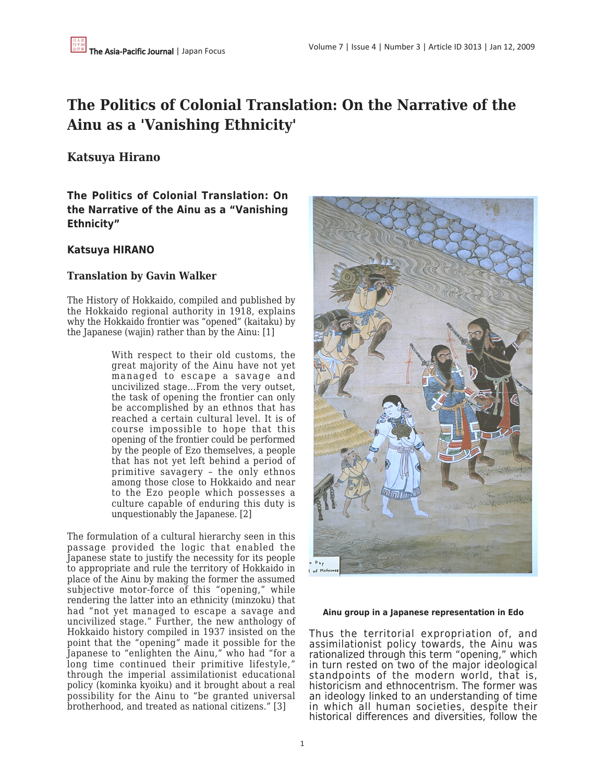# **The Politics of Colonial Translation: On the Narrative of the Ainu as a 'Vanishing Ethnicity'**

# **Katsuya Hirano**

**The Politics of Colonial Translation: On the Narrative of the Ainu as a "Vanishing Ethnicity"**

# **Katsuya HIRANO**

## **Translation by Gavin Walker**

The History of Hokkaido, compiled and published by the Hokkaido regional authority in 1918, explains why the Hokkaido frontier was "opened" (kaitaku) by the Japanese (wajin) rather than by the Ainu: [1]

> With respect to their old customs, the great majority of the Ainu have not yet managed to escape a savage and uncivilized stage…From the very outset, the task of opening the frontier can only be accomplished by an ethnos that has reached a certain cultural level. It is of course impossible to hope that this opening of the frontier could be performed by the people of Ezo themselves, a people that has not yet left behind a period of primitive savagery – the only ethnos among those close to Hokkaido and near to the Ezo people which possesses a culture capable of enduring this duty is unquestionably the Japanese. [2]

The formulation of a cultural hierarchy seen in this passage provided the logic that enabled the Japanese state to justify the necessity for its people to appropriate and rule the territory of Hokkaido in place of the Ainu by making the former the assumed subjective motor-force of this "opening," while rendering the latter into an ethnicity (minzoku) that had "not yet managed to escape a savage and uncivilized stage." Further, the new anthology of Hokkaido history compiled in 1937 insisted on the point that the "opening" made it possible for the Japanese to "enlighten the Ainu," who had "for a long time continued their primitive lifestyle," through the imperial assimilationist educational policy (kominka kyoiku) and it brought about a real possibility for the Ainu to "be granted universal brotherhood, and treated as national citizens." [3]



### **Ainu group in a Japanese representation in Edo**

Thus the territorial expropriation of, and assimilationist policy towards, the Ainu was rationalized through this term "opening," which in turn rested on two of the major ideological standpoints of the modern world, that is, historicism and ethnocentrism. The former was an ideology linked to an understanding of time in which all human societies, despite their historical differences and diversities, follow the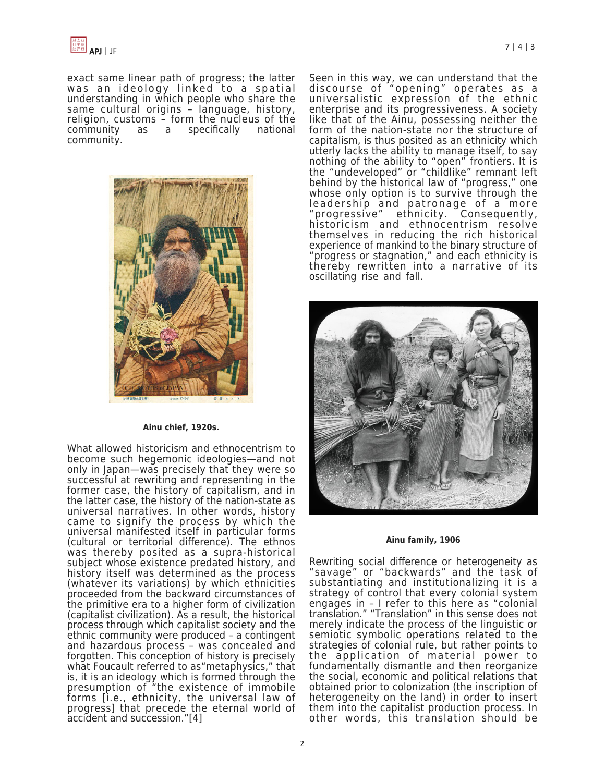exact same linear path of progress; the latter was an ideology linked to a spatial understanding in which people who share the same cultural origins – language, history, religion, customs – form the nucleus of the community as a specifically national community.



### **Ainu chief, 1920s.**

What allowed historicism and ethnocentrism to become such hegemonic ideologies—and not only in Japan—was precisely that they were so successful at rewriting and representing in the former case, the history of capitalism, and in the latter case, the history of the nation-state as universal narratives. In other words, history came to signify the process by which the universal manifested itself in particular forms (cultural or territorial difference). The ethnos was thereby posited as a supra-historical subject whose existence predated history, and history itself was determined as the process (whatever its variations) by which ethnicities proceeded from the backward circumstances of the primitive era to a higher form of civilization (capitalist civilization). As a result, the historical process through which capitalist society and the ethnic community were produced – a contingent and hazardous process – was concealed and forgotten. This conception of history is precisely what Foucault referred to as"metaphysics," that is, it is an ideology which is formed through the presumption of "the existence of immobile forms [i.e., ethnicity, the universal law of progress] that precede the eternal world of accident and succession."[4]

Seen in this way, we can understand that the discourse of "opening" operates as a universalistic expression of the ethnic enterprise and its progressiveness. A society like that of the Ainu, possessing neither the form of the nation-state nor the structure of capitalism, is thus posited as an ethnicity which utterly lacks the ability to manage itself, to say nothing of the ability to "open" frontiers. It is the "undeveloped" or "childlike" remnant left behind by the historical law of "progress," one whose only option is to survive through the leadership and patronage of a more "progressive" ethnicity. Consequently, historicism and ethnocentrism resolve themselves in reducing the rich historical experience of mankind to the binary structure of "progress or stagnation," and each ethnicity is thereby rewritten into a narrative of its oscillating rise and fall.



#### **Ainu family, 1906**

Rewriting social difference or heterogeneity as "savage" or "backwards" and the task of substantiating and institutionalizing it is a strategy of control that every colonial system engages in – I refer to this here as "colonial translation." "Translation" in this sense does not merely indicate the process of the linguistic or semiotic symbolic operations related to the strategies of colonial rule, but rather points to the application of material power to fundamentally dismantle and then reorganize the social, economic and political relations that obtained prior to colonization (the inscription of heterogeneity on the land) in order to insert them into the capitalist production process. In other words, this translation should be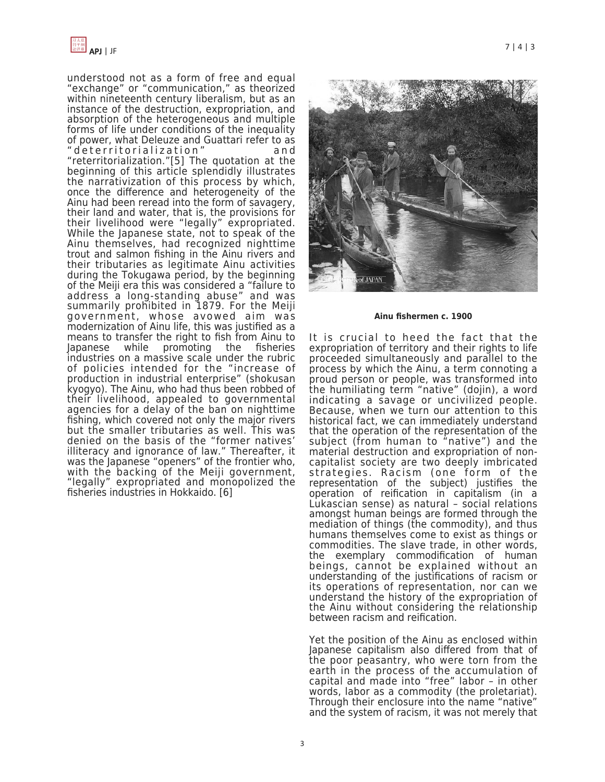

understood not as a form of free and equal "exchange" or "communication," as theorized within nineteenth century liberalism, but as an instance of the destruction, expropriation, and absorption of the heterogeneous and multiple forms of life under conditions of the inequality of power, what Deleuze and Guattari refer to as "deterritorialization" and "reterritorialization."[5] The quotation at the beginning of this article splendidly illustrates the narrativization of this process by which, once the difference and heterogeneity of the Ainu had been reread into the form of savagery, their land and water, that is, the provisions for their livelihood were "legally" expropriated. While the Japanese state, not to speak of the Ainu themselves, had recognized nighttime trout and salmon fishing in the Ainu rivers and their tributaries as legitimate Ainu activities during the Tokugawa period, by the beginning of the Meiji era this was considered a "failure to address a long-standing abuse" and was summarily prohibited in 1879. For the Meiji government, whose avowed aim was modernization of Ainu life, this was justified as a means to transfer the right to fish from Ainu to Japanese while promoting the fisheries industries on a massive scale under the rubric of policies intended for the "increase of production in industrial enterprise" (shokusan kyogyo). The Ainu, who had thus been robbed of their livelihood, appealed to governmental agencies for a delay of the ban on nighttime fishing, which covered not only the major rivers but the smaller tributaries as well. This was denied on the basis of the "former natives' illiteracy and ignorance of law." Thereafter, it was the Japanese "openers" of the frontier who, with the backing of the Meiji government, "legally" expropriated and monopolized the fisheries industries in Hokkaido. [6]





**Ainu fishermen c. 1900**

It is crucial to heed the fact that the expropriation of territory and their rights to life proceeded simultaneously and parallel to the process by which the Ainu, a term connoting a proud person or people, was transformed into the humiliating term "native" (dojin), a word indicating a savage or uncivilized people. Because, when we turn our attention to this historical fact, we can immediately understand that the operation of the representation of the subject (from human to "native") and the material destruction and expropriation of noncapitalist society are two deeply imbricated strategies. Racism (one form of the representation of the subject) justifies the operation of reification in capitalism (in a Lukascian sense) as natural – social relations amongst human beings are formed through the mediation of things (the commodity), and thus humans themselves come to exist as things or commodities. The slave trade, in other words, the exemplary commodification of human beings, cannot be explained without an understanding of the justifications of racism or its operations of representation, nor can we understand the history of the expropriation of the Ainu without considering the relationship between racism and reification.

Yet the position of the Ainu as enclosed within Japanese capitalism also differed from that of the poor peasantry, who were torn from the earth in the process of the accumulation of capital and made into "free" labor – in other words, labor as a commodity (the proletariat). Through their enclosure into the name "native" and the system of racism, it was not merely that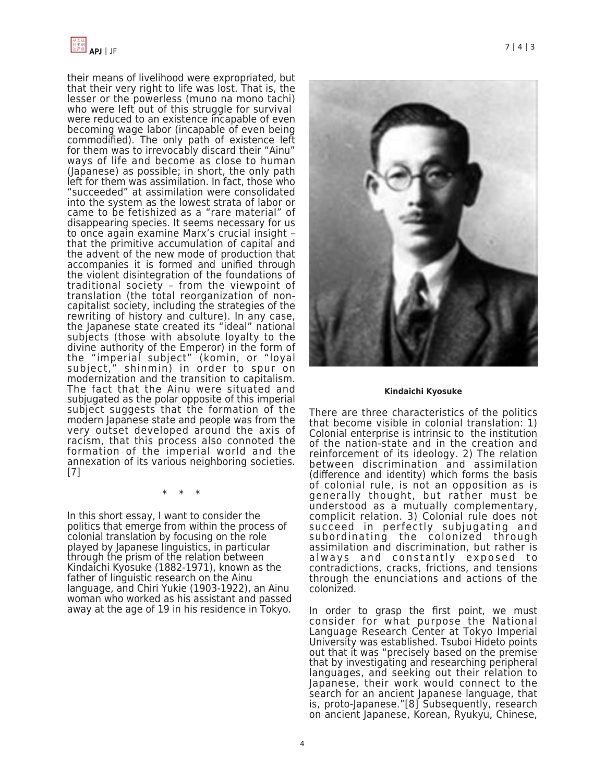

their means of livelihood were expropriated, but that their very right to life was lost. That is, the lesser or the powerless (muno na mono tachi) who were left out of this struggle for survival were reduced to an existence incapable of even becoming wage labor (incapable of even being commodified). The only path of existence left for them was to irrevocably discard their "Ainu" ways of life and become as close to human (Japanese) as possible; in short, the only path left for them was assimilation. In fact, those who "succeeded" at assimilation were consolidated into the system as the lowest strata of labor or came to be fetishized as a "rare material" of disappearing species. It seems necessary for us to once again examine Marx's crucial insight – that the primitive accumulation of capital and the advent of the new mode of production that accompanies it is formed and unified through the violent disintegration of the foundations of traditional society – from the viewpoint of translation (the total reorganization of noncapitalist society, including the strategies of the rewriting of history and culture). In any case, the Japanese state created its "ideal" national subjects (those with absolute loyalty to the divine authority of the Emperor) in the form of the "imperial subject" (komin, or "loyal subject," shinmin) in order to spur on modernization and the transition to capitalism. The fact that the Ainu were situated and subjugated as the polar opposite of this imperial subject suggests that the formation of the modern Japanese state and people was from the very outset developed around the axis of racism, that this process also connoted the formation of the imperial world and the annexation of its various neighboring societies. [7]

\* \* \*

In this short essay, I want to consider the politics that emerge from within the process of colonial translation by focusing on the role played by Japanese linguistics, in particular through the prism of the relation between Kindaichi Kyosuke (1882-1971), known as the father of linguistic research on the Ainu language, and Chiri Yukie (1903-1922), an Ainu woman who worked as his assistant and passed away at the age of 19 in his residence in Tokyo.



### **Kindaichi Kyosuke**

There are three characteristics of the politics that become visible in colonial translation: 1) Colonial enterprise is intrinsic to the institution of the nation-state and in the creation and reinforcement of its ideology. 2) The relation between discrimination and assimilation (difference and identity) which forms the basis of colonial rule, is not an opposition as is generally thought, but rather must be understood as a mutually complementary, complicit relation. 3) Colonial rule does not succeed in perfectly subjugating and subordinating the colonized through assimilation and discrimination, but rather is always and constantly exposed to contradictions, cracks, frictions, and tensions through the enunciations and actions of the colonized.

In order to grasp the first point, we must consider for what purpose the National Language Research Center at Tokyo Imperial University was established. Tsuboi Hideto points out that it was "precisely based on the premise that by investigating and researching peripheral languages, and seeking out their relation to Japanese, their work would connect to the search for an ancient Japanese language, that is, proto-Japanese."[8] Subsequently, research on ancient Japanese, Korean, Ryukyu, Chinese,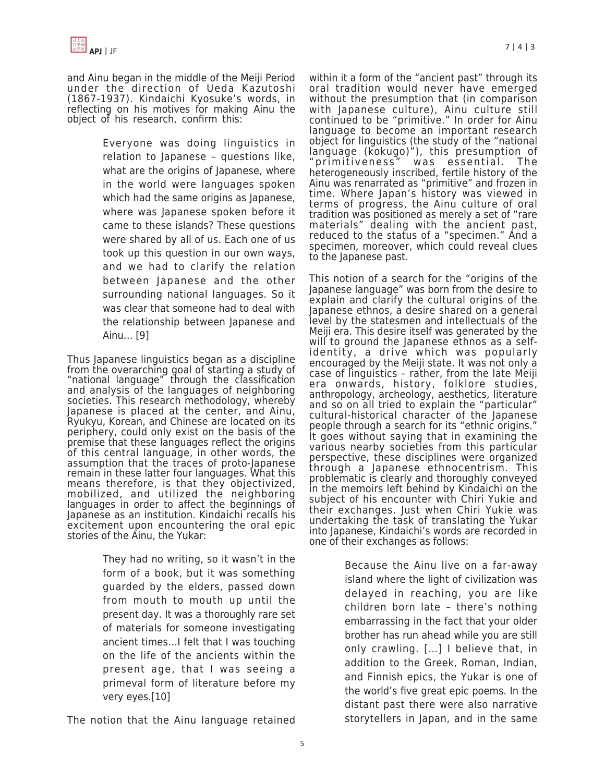and Ainu began in the middle of the Meiji Period under the direction of Ueda Kazutoshi (1867-1937). Kindaichi Kyosuke's words, in reflecting on his motives for making Ainu the object of his research, confirm this:

> Everyone was doing linguistics in relation to Japanese – questions like, what are the origins of Japanese, where in the world were languages spoken which had the same origins as Japanese, where was Japanese spoken before it came to these islands? These questions were shared by all of us. Each one of us took up this question in our own ways, and we had to clarify the relation between Japanese and the other surrounding national languages. So it was clear that someone had to deal with the relationship between Japanese and Ainu… [9]

Thus Japanese linguistics began as a discipline from the overarching goal of starting a study of "national language" through the classification and analysis of the languages of neighboring societies. This research methodology, whereby Japanese is placed at the center, and Ainu, Ryukyu, Korean, and Chinese are located on its periphery, could only exist on the basis of the premise that these languages reflect the origins of this central language, in other words, the assumption that the traces of proto-Japanese remain in these latter four languages. What this means therefore, is that they objectivized, mobilized, and utilized the neighboring languages in order to affect the beginnings of Japanese as an institution. Kindaichi recalls his excitement upon encountering the oral epic stories of the Ainu, the Yukar:

> They had no writing, so it wasn't in the form of a book, but it was something guarded by the elders, passed down from mouth to mouth up until the present day. It was a thoroughly rare set of materials for someone investigating ancient times…I felt that I was touching on the life of the ancients within the present age, that I was seeing a primeval form of literature before my very eyes.[10]

The notion that the Ainu language retained

within it a form of the "ancient past" through its oral tradition would never have emerged without the presumption that (in comparison with Japanese culture), Ainu culture still continued to be "primitive." In order for Ainu language to become an important research object for linguistics (the study of the "national language (kokugo)"), this presumption of "primitiveness" was essential. The heterogeneously inscribed, fertile history of the Ainu was renarrated as "primitive" and frozen in time. Where Japan's history was viewed in terms of progress, the Ainu culture of oral tradition was positioned as merely a set of "rare materials" dealing with the ancient past, reduced to the status of a "specimen." And a specimen, moreover, which could reveal clues to the Japanese past.

This notion of a search for the "origins of the Japanese language" was born from the desire to explain and clarify the cultural origins of the Japanese ethnos, a desire shared on a general level by the statesmen and intellectuals of the Meiji era. This desire itself was generated by the will to ground the Japanese ethnos as a selfidentity, a drive which was popularly encouraged by the Meiji state. It was not only a case of linguistics – rather, from the late Meiji era onwards, history, folklore studies, anthropology, archeology, aesthetics, literature and so on all tried to explain the "particular" cultural-historical character of the Japanese people through a search for its "ethnic origins." It goes without saying that in examining the various nearby societies from this particular perspective, these disciplines were organized through a Japanese ethnocentrism. This problematic is clearly and thoroughly conveyed in the memoirs left behind by Kindaichi on the subject of his encounter with Chiri Yukie and their exchanges. Just when Chiri Yukie was undertaking the task of translating the Yukar into Japanese, Kindaichi's words are recorded in one of their exchanges as follows:

> Because the Ainu live on a far-away island where the light of civilization was delayed in reaching, you are like children born late – there's nothing embarrassing in the fact that your older brother has run ahead while you are still only crawling. […] I believe that, in addition to the Greek, Roman, Indian, and Finnish epics, the Yukar is one of the world's five great epic poems. In the distant past there were also narrative storytellers in Japan, and in the same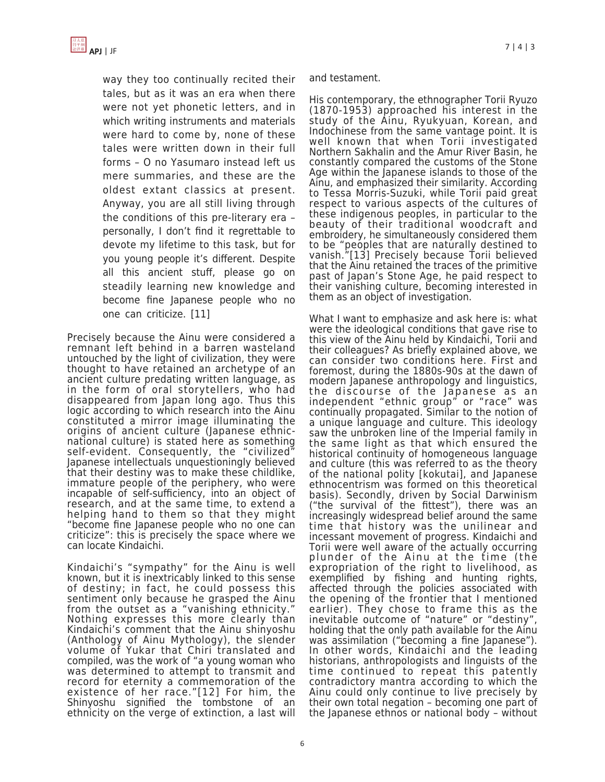

way they too continually recited their tales, but as it was an era when there were not yet phonetic letters, and in which writing instruments and materials were hard to come by, none of these tales were written down in their full forms – O no Yasumaro instead left us mere summaries, and these are the oldest extant classics at present. Anyway, you are all still living through the conditions of this pre-literary era – personally, I don't find it regrettable to devote my lifetime to this task, but for you young people it's different. Despite all this ancient stuff, please go on steadily learning new knowledge and become fine Japanese people who no one can criticize. [11]

Precisely because the Ainu were considered a remnant left behind in a barren wasteland untouched by the light of civilization, they were thought to have retained an archetype of an ancient culture predating written language, as in the form of oral storytellers, who had disappeared from Japan long ago. Thus this logic according to which research into the Ainu constituted a mirror image illuminating the origins of ancient culture (Japanese ethnicnational culture) is stated here as something self-evident. Consequently, the "civilized" Japanese intellectuals unquestioningly believed that their destiny was to make these childlike, immature people of the periphery, who were incapable of self-sufficiency, into an object of research, and at the same time, to extend a helping hand to them so that they might "become fine Japanese people who no one can criticize": this is precisely the space where we can locate Kindaichi.

Kindaichi's "sympathy" for the Ainu is well known, but it is inextricably linked to this sense of destiny; in fact, he could possess this sentiment only because he grasped the Ainu from the outset as a "vanishing ethnicity." Nothing expresses this more clearly than Kindaichi's comment that the Ainu shinyoshu (Anthology of Ainu Mythology), the slender volume of Yukar that Chiri translated and compiled, was the work of "a young woman who was determined to attempt to transmit and record for eternity a commemoration of the existence of her race."[12] For him, the Shinyoshu signified the tombstone of an ethnicity on the verge of extinction, a last will

and testament.

His contemporary, the ethnographer Torii Ryuzo (1870-1953) approached his interest in the study of the Ainu, Ryukyuan, Korean, and Indochinese from the same vantage point. It is well known that when Torii investigated Northern Sakhalin and the Amur River Basin, he constantly compared the customs of the Stone Age within the Japanese islands to those of the Ainu, and emphasized their similarity. According to Tessa Morris-Suzuki, while Torii paid great respect to various aspects of the cultures of these indigenous peoples, in particular to the beauty of their traditional woodcraft and embroidery, he simultaneously considered them to be "peoples that are naturally destined to vanish."[13] Precisely because Torii believed that the Ainu retained the traces of the primitive past of Japan's Stone Age, he paid respect to their vanishing culture, becoming interested in them as an object of investigation.

What I want to emphasize and ask here is: what were the ideological conditions that gave rise to this view of the Ainu held by Kindaichi, Torii and their colleagues? As briefly explained above, we can consider two conditions here. First and foremost, during the 1880s-90s at the dawn of modern Japanese anthropology and linguistics, the discourse of the Japanese as an independent "ethnic group" or "race" was continually propagated. Similar to the notion of a unique language and culture. This ideology saw the unbroken line of the Imperial family in the same light as that which ensured the historical continuity of homogeneous language and culture (this was referred to as the theory of the national polity [kokutai], and Japanese ethnocentrism was formed on this theoretical basis). Secondly, driven by Social Darwinism ("the survival of the fittest"), there was an increasingly widespread belief around the same time that history was the unilinear and incessant movement of progress. Kindaichi and Torii were well aware of the actually occurring plunder of the Ainu at the time (the expropriation of the right to livelihood, as exemplified by fishing and hunting rights, affected through the policies associated with the opening of the frontier that I mentioned earlier). They chose to frame this as the inevitable outcome of "nature" or "destiny", holding that the only path available for the Ainu was assimilation ("becoming a fine Japanese"). In other words, Kindaichi and the leading historians, anthropologists and linguists of the time continued to repeat this patently contradictory mantra according to which the Ainu could only continue to live precisely by their own total negation – becoming one part of the Japanese ethnos or national body – without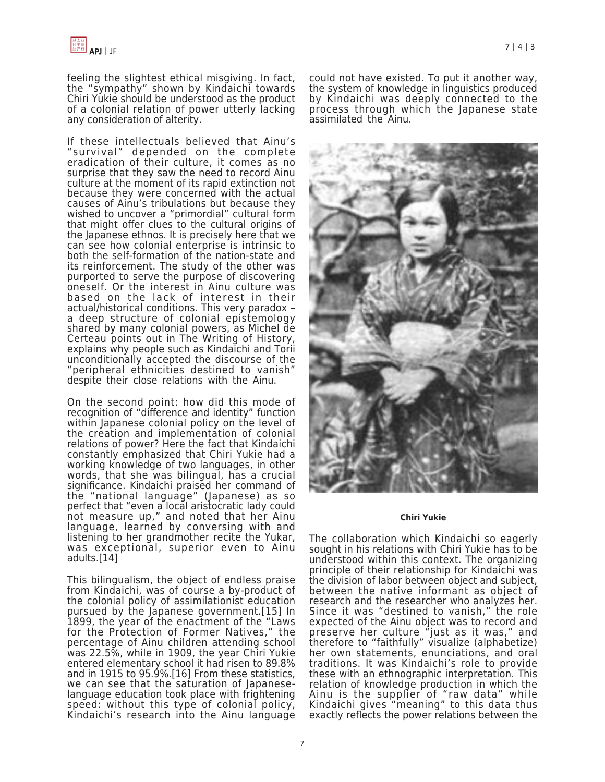feeling the slightest ethical misgiving. In fact, the "sympathy" shown by Kindaichi towards Chiri Yukie should be understood as the product of a colonial relation of power utterly lacking any consideration of alterity.

If these intellectuals believed that Ainu's "survival" depended on the complete eradication of their culture, it comes as no surprise that they saw the need to record Ainu culture at the moment of its rapid extinction not because they were concerned with the actual causes of Ainu's tribulations but because they wished to uncover a "primordial" cultural form that might offer clues to the cultural origins of the Japanese ethnos. It is precisely here that we can see how colonial enterprise is intrinsic to both the self-formation of the nation-state and its reinforcement. The study of the other was purported to serve the purpose of discovering oneself. Or the interest in Ainu culture was based on the lack of interest in their actual/historical conditions. This very paradox – a deep structure of colonial epistemology shared by many colonial powers, as Michel de Certeau points out in The Writing of History, explains why people such as Kindaichi and Torii unconditionally accepted the discourse of the "peripheral ethnicities destined to vanish" despite their close relations with the Ainu.

On the second point: how did this mode of recognition of "difference and identity" function within Japanese colonial policy on the level of the creation and implementation of colonial relations of power? Here the fact that Kindaichi constantly emphasized that Chiri Yukie had a working knowledge of two languages, in other words, that she was bilingual, has a crucial significance. Kindaichi praised her command of the "national language" (Japanese) as so perfect that "even a local aristocratic lady could not measure up," and noted that her Ainu language, learned by conversing with and listening to her grandmother recite the Yukar, was exceptional, superior even to Ainu adults.[14]

This bilingualism, the object of endless praise from Kindaichi, was of course a by-product of the colonial policy of assimilationist education pursued by the Japanese government.[15] In 1899, the year of the enactment of the "Laws for the Protection of Former Natives," the percentage of Ainu children attending school was 22.5%, while in 1909, the year Chiri Yukie entered elementary school it had risen to 89.8% and in 1915 to 95.9%.[16] From these statistics, we can see that the saturation of Japaneselanguage education took place with frightening speed: without this type of colonial policy, Kindaichi's research into the Ainu language could not have existed. To put it another way, the system of knowledge in linguistics produced by Kindaichi was deeply connected to the process through which the Japanese state assimilated the Ainu.



#### **Chiri Yukie**

The collaboration which Kindaichi so eagerly sought in his relations with Chiri Yukie has to be understood within this context. The organizing principle of their relationship for Kindaichi was the division of labor between object and subject, between the native informant as object of research and the researcher who analyzes her. Since it was "destined to vanish," the role expected of the Ainu object was to record and preserve her culture "just as it was," and therefore to "faithfully" visualize (alphabetize) her own statements, enunciations, and oral traditions. It was Kindaichi's role to provide these with an ethnographic interpretation. This relation of knowledge production in which the Ainu is the supplier of "raw data" while Kindaichi gives "meaning" to this data thus exactly reflects the power relations between the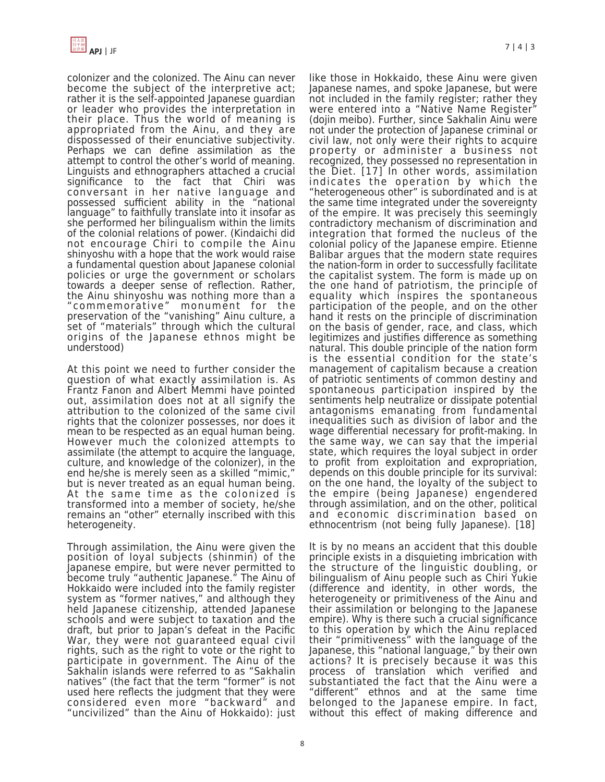

colonizer and the colonized. The Ainu can never become the subject of the interpretive act; rather it is the self-appointed Japanese guardian or leader who provides the interpretation in their place. Thus the world of meaning is appropriated from the Ainu, and they are dispossessed of their enunciative subjectivity. Perhaps we can define assimilation as the attempt to control the other's world of meaning. Linguists and ethnographers attached a crucial significance to the fact that Chiri was conversant in her native language and possessed sufficient ability in the "national language" to faithfully translate into it insofar as she performed her bilingualism within the limits of the colonial relations of power. (Kindaichi did not encourage Chiri to compile the Ainu shinyoshu with a hope that the work would raise a fundamental question about Japanese colonial policies or urge the government or scholars towards a deeper sense of reflection. Rather, the Ainu shinyoshu was nothing more than a "commemorative" monument for the preservation of the "vanishing" Ainu culture, a set of "materials" through which the cultural origins of the Japanese ethnos might be understood)

At this point we need to further consider the question of what exactly assimilation is. As Frantz Fanon and Albert Memmi have pointed out, assimilation does not at all signify the attribution to the colonized of the same civil rights that the colonizer possesses, nor does it mean to be respected as an equal human being. However much the colonized attempts to assimilate (the attempt to acquire the language, culture, and knowledge of the colonizer), in the end he/she is merely seen as a skilled "mimic," but is never treated as an equal human being. At the same time as the colonized is transformed into a member of society, he/she remains an "other" eternally inscribed with this heterogeneity.

Through assimilation, the Ainu were given the position of loyal subjects (shinmin) of the Japanese empire, but were never permitted to become truly "authentic Japanese." The Ainu of Hokkaido were included into the family register system as "former natives," and although they held Japanese citizenship, attended Japanese schools and were subject to taxation and the draft, but prior to Japan's defeat in the Pacific War, they were not guaranteed equal civil rights, such as the right to vote or the right to participate in government. The Ainu of the Sakhalin islands were referred to as "Sakhalin natives" (the fact that the term "former" is not used here reflects the judgment that they were considered even more "backward" and "uncivilized" than the Ainu of Hokkaido): just

Japanese names, and spoke Japanese, but were not included in the family register; rather they were entered into a "Native Name Register" (dojin meibo). Further, since Sakhalin Ainu were not under the protection of Japanese criminal or civil law, not only were their rights to acquire property or administer a business not recognized, they possessed no representation in the Diet. [17] In other words, assimilation indicates the operation by which the "heterogeneous other" is subordinated and is at the same time integrated under the sovereignty of the empire. It was precisely this seemingly contradictory mechanism of discrimination and integration that formed the nucleus of the colonial policy of the Japanese empire. Etienne Balibar argues that the modern state requires the nation-form in order to successfully facilitate the capitalist system. The form is made up on the one hand of patriotism, the principle of equality which inspires the spontaneous participation of the people, and on the other hand it rests on the principle of discrimination on the basis of gender, race, and class, which legitimizes and justifies difference as something natural. This double principle of the nation form is the essential condition for the state's management of capitalism because a creation of patriotic sentiments of common destiny and spontaneous participation inspired by the sentiments help neutralize or dissipate potential antagonisms emanating from fundamental inequalities such as division of labor and the wage differential necessary for profit-making. In the same way, we can say that the imperial state, which requires the loyal subject in order to profit from exploitation and expropriation, depends on this double principle for its survival: on the one hand, the loyalty of the subject to the empire (being Japanese) engendered through assimilation, and on the other, political and economic discrimination based on ethnocentrism (not being fully Japanese). [18]

like those in Hokkaido, these Ainu were given

It is by no means an accident that this double principle exists in a disquieting imbrication with the structure of the linguistic doubling, or bilingualism of Ainu people such as Chiri Yukie (difference and identity, in other words, the heterogeneity or primitiveness of the Ainu and their assimilation or belonging to the Japanese empire). Why is there such a crucial significance to this operation by which the Ainu replaced their "primitiveness" with the language of the Japanese, this "national language," by their own actions? It is precisely because it was this process of translation which verified and substantiated the fact that the Ainu were a "different" ethnos and at the same time belonged to the Japanese empire. In fact, without this effect of making difference and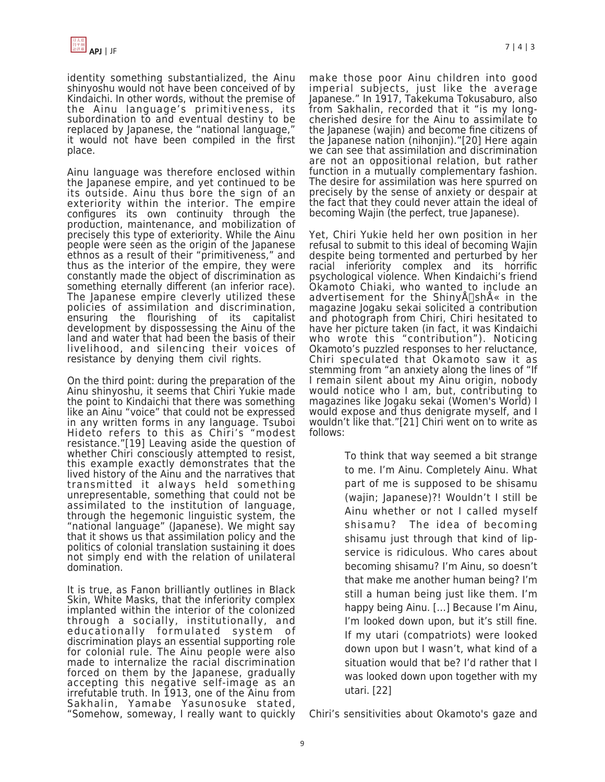identity something substantialized, the Ainu shinyoshu would not have been conceived of by Kindaichi. In other words, without the premise of the Ainu language's primitiveness, its subordination to and eventual destiny to be replaced by Japanese, the "national language," it would not have been compiled in the first place.

Ainu language was therefore enclosed within the Japanese empire, and yet continued to be its outside. Ainu thus bore the sign of an exteriority within the interior. The empire configures its own continuity through the production, maintenance, and mobilization of precisely this type of exteriority. While the Ainu people were seen as the origin of the Japanese ethnos as a result of their "primitiveness," and thus as the interior of the empire, they were constantly made the object of discrimination as something eternally different (an inferior race). The Japanese empire cleverly utilized these policies of assimilation and discrimination, ensuring the flourishing of its capitalist development by dispossessing the Ainu of the land and water that had been the basis of their livelihood, and silencing their voices of resistance by denying them civil rights.

On the third point: during the preparation of the Ainu shinyoshu, it seems that Chiri Yukie made the point to Kindaichi that there was something like an Ainu "voice" that could not be expressed in any written forms in any language. Tsuboi Hideto refers to this as Chiri's "modest resistance."[19] Leaving aside the question of whether Chiri consciously attempted to resist, this example exactly demonstrates that the lived history of the Ainu and the narratives that transmitted it always held something unrepresentable, something that could not be assimilated to the institution of language, through the hegemonic linguistic system, the "national language" (Japanese). We might say that it shows us that assimilation policy and the politics of colonial translation sustaining it does not simply end with the relation of unilateral domination.

It is true, as Fanon brilliantly outlines in Black Skin, White Masks, that the inferiority complex implanted within the interior of the colonized through a socially, institutionally, and educationally formulated system of discrimination plays an essential supporting role for colonial rule. The Ainu people were also made to internalize the racial discrimination forced on them by the Japanese, gradually accepting this negative self-image as an irrefutable truth. In 1913, one of the Ainu from Sakhalin, Yamabe Yasunosuke stated, "Somehow, someway, I really want to quickly make those poor Ainu children into good imperial subjects, just like the average Japanese." In 1917, Takekuma Tokusaburo, also from Sakhalin, recorded that it "is my longcherished desire for the Ainu to assimilate to the Japanese (wajin) and become fine citizens of the Japanese nation (nihonjin)."[20] Here again we can see that assimilation and discrimination are not an oppositional relation, but rather function in a mutually complementary fashion. The desire for assimilation was here spurred on precisely by the sense of anxiety or despair at the fact that they could never attain the ideal of becoming Wajin (the perfect, true Japanese).

Yet, Chiri Yukie held her own position in her refusal to submit to this ideal of becoming Wajin despite being tormented and perturbed by her racial inferiority complex and its horrific psychological violence. When Kindaichi's friend Okamoto Chiaki, who wanted to include an advertisement for the Shiny $A\Box$ sh $A\ll 1$ n the magazine Jogaku sekai solicited a contribution and photograph from Chiri, Chiri hesitated to have her picture taken (in fact, it was Kindaichi who wrote this "contribution"). Noticing Okamoto's puzzled responses to her reluctance, Chiri speculated that Okamoto saw it as stemming from "an anxiety along the lines of "If I remain silent about my Ainu origin, nobody would notice who I am, but, contributing to magazines like Jogaku sekai (Women's World) I would expose and thus denigrate myself, and I wouldn't like that."[21] Chiri went on to write as follows:

> To think that way seemed a bit strange to me. I'm Ainu. Completely Ainu. What part of me is supposed to be shisamu (wajin; Japanese)?! Wouldn't I still be Ainu whether or not I called myself shisamu? The idea of becoming shisamu just through that kind of lipservice is ridiculous. Who cares about becoming shisamu? I'm Ainu, so doesn't that make me another human being? I'm still a human being just like them. I'm happy being Ainu. […] Because I'm Ainu, I'm looked down upon, but it's still fine. If my utari (compatriots) were looked down upon but I wasn't, what kind of a situation would that be? I'd rather that I was looked down upon together with my utari. [22]

Chiri's sensitivities about Okamoto's gaze and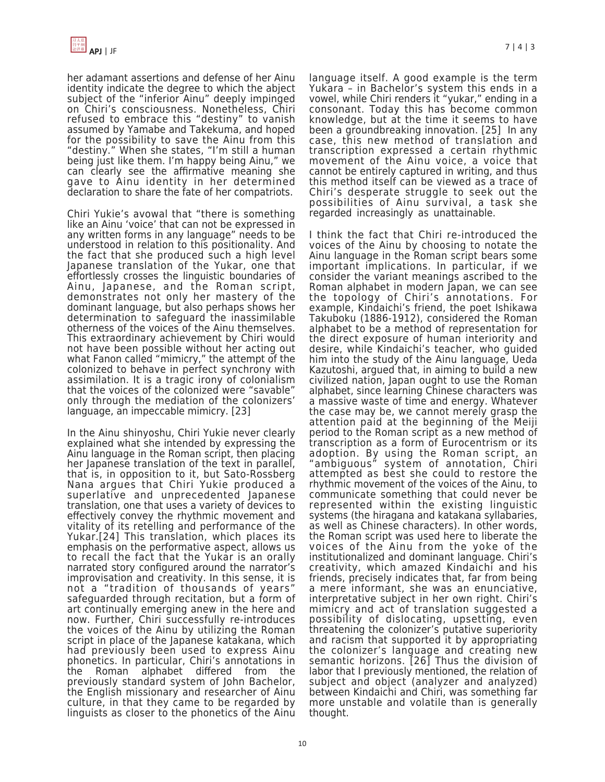

her adamant assertions and defense of her Ainu identity indicate the degree to which the abject subject of the "inferior Ainu" deeply impinged on Chiri's consciousness. Nonetheless, Chiri refused to embrace this "destiny" to vanish assumed by Yamabe and Takekuma, and hoped for the possibility to save the Ainu from this "destiny." When she states, "I'm still a human being just like them. I'm happy being Ainu," we can clearly see the affirmative meaning she gave to Ainu identity in her determined declaration to share the fate of her compatriots.

Chiri Yukie's avowal that "there is something like an Ainu 'voice' that can not be expressed in any written forms in any language" needs to be understood in relation to this positionality. And the fact that she produced such a high level Japanese translation of the Yukar, one that effortlessly crosses the linguistic boundaries of Ainu, Japanese, and the Roman script, demonstrates not only her mastery of the dominant language, but also perhaps shows her determination to safeguard the inassimilable otherness of the voices of the Ainu themselves. This extraordinary achievement by Chiri would not have been possible without her acting out what Fanon called "mimicry," the attempt of the colonized to behave in perfect synchrony with assimilation. It is a tragic irony of colonialism that the voices of the colonized were "savable" only through the mediation of the colonizers' language, an impeccable mimicry. [23]

In the Ainu shinyoshu, Chiri Yukie never clearly explained what she intended by expressing the Ainu language in the Roman script, then placing her Japanese translation of the text in parallel, that is, in opposition to it, but Sato-Rossberg Nana argues that Chiri Yukie produced a superlative and unprecedented Japanese translation, one that uses a variety of devices to effectively convey the rhythmic movement and vitality of its retelling and performance of the Yukar.[24] This translation, which places its emphasis on the performative aspect, allows us to recall the fact that the Yukar is an orally narrated story configured around the narrator's improvisation and creativity. In this sense, it is not a "tradition of thousands of years" safeguarded through recitation, but a form of art continually emerging anew in the here and now. Further, Chiri successfully re-introduces the voices of the Ainu by utilizing the Roman script in place of the Japanese katakana, which had previously been used to express Ainu phonetics. In particular, Chiri's annotations in Roman alphabet differed from the previously standard system of John Bachelor, the English missionary and researcher of Ainu culture, in that they came to be regarded by linguists as closer to the phonetics of the Ainu

language itself. A good example is the term Yukara – in Bachelor's system this ends in a vowel, while Chiri renders it "yukar," ending in a consonant. Today this has become common knowledge, but at the time it seems to have been a groundbreaking innovation. [25] In any case, this new method of translation and transcription expressed a certain rhythmic movement of the Ainu voice, a voice that cannot be entirely captured in writing, and thus this method itself can be viewed as a trace of Chiri's desperate struggle to seek out the possibilities of Ainu survival, a task she regarded increasingly as unattainable.

I think the fact that Chiri re-introduced the voices of the Ainu by choosing to notate the Ainu language in the Roman script bears some important implications. In particular, if we consider the variant meanings ascribed to the Roman alphabet in modern Japan, we can see the topology of Chiri's annotations. For example, Kindaichi's friend, the poet Ishikawa Takuboku (1886-1912), considered the Roman alphabet to be a method of representation for the direct exposure of human interiority and desire, while Kindaichi's teacher, who guided him into the study of the Ainu language, Ueda Kazutoshi, argued that, in aiming to build a new civilized nation, Japan ought to use the Roman alphabet, since learning Chinese characters was a massive waste of time and energy. Whatever the case may be, we cannot merely grasp the attention paid at the beginning of the Meiji period to the Roman script as a new method of transcription as a form of Eurocentrism or its adoption. By using the Roman script, an "ambiguous" system of annotation, Chiri attempted as best she could to restore the rhythmic movement of the voices of the Ainu, to communicate something that could never be represented within the existing linguistic systems (the hiragana and katakana syllabaries, as well as Chinese characters). In other words, the Roman script was used here to liberate the voices of the Ainu from the yoke of the institutionalized and dominant language. Chiri's creativity, which amazed Kindaichi and his friends, precisely indicates that, far from being a mere informant, she was an enunciative, interpretative subject in her own right. Chiri's mimicry and act of translation suggested a possibility of dislocating, upsetting, even threatening the colonizer's putative superiority and racism that supported it by appropriating the colonizer's language and creating new semantic horizons. [26] Thus the division of labor that I previously mentioned, the relation of subject and object (analyzer and analyzed) between Kindaichi and Chiri, was something far more unstable and volatile than is generally thought.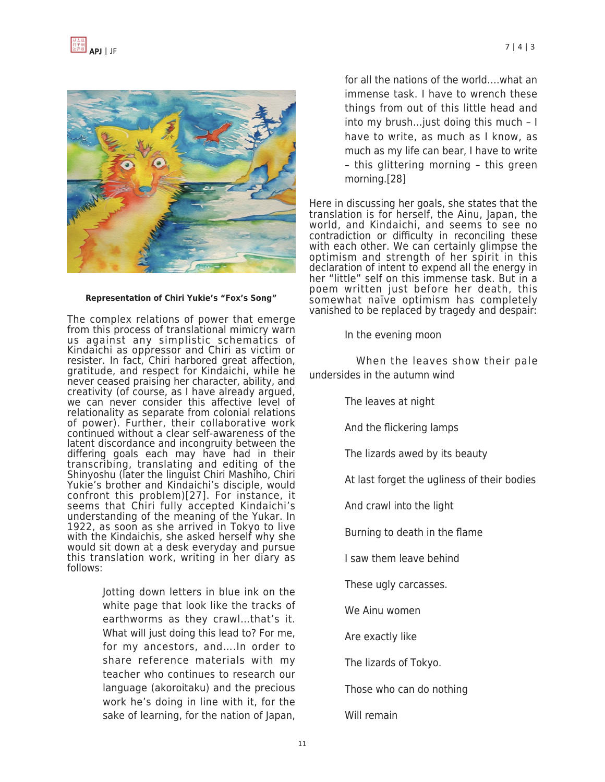

### **Representation of Chiri Yukie's "Fox's Song"**

The complex relations of power that emerge from this process of translational mimicry warn us against any simplistic schematics of Kindaichi as oppressor and Chiri as victim or resister. In fact, Chiri harbored great affection, gratitude, and respect for Kindaichi, while he never ceased praising her character, ability, and creativity (of course, as I have already argued, we can never consider this affective level of relationality as separate from colonial relations of power). Further, their collaborative work continued without a clear self-awareness of the latent discordance and incongruity between the differing goals each may have had in their transcribing, translating and editing of the Shinyoshu (later the linguist Chiri Mashiho, Chiri Yukie's brother and Kindaichi's disciple, would confront this problem)[27]. For instance, it seems that Chiri fully accepted Kindaichi's understanding of the meaning of the Yukar. In 1922, as soon as she arrived in Tokyo to live with the Kindaichis, she asked herself why she would sit down at a desk everyday and pursue this translation work, writing in her diary as follows:

> Jotting down letters in blue ink on the white page that look like the tracks of earthworms as they crawl…that's it. What will just doing this lead to? For me, for my ancestors, and….In order to share reference materials with my teacher who continues to research our language (akoroitaku) and the precious work he's doing in line with it, for the sake of learning, for the nation of Japan,

for all the nations of the world….what an immense task. I have to wrench these things from out of this little head and into my brush…just doing this much – I have to write, as much as I know, as much as my life can bear, I have to write – this glittering morning – this green morning.[28]

Here in discussing her goals, she states that the translation is for herself, the Ainu, Japan, the world, and Kindaichi, and seems to see no contradiction or difficulty in reconciling these with each other. We can certainly glimpse the optimism and strength of her spirit in this declaration of intent to expend all the energy in her "little" self on this immense task. But in a poem written just before her death, this somewhat naïve optimism has completely vanished to be replaced by tragedy and despair:

In the evening moon

 When the leaves show their pale undersides in the autumn wind

The leaves at night

And the flickering lamps

The lizards awed by its beauty

At last forget the ugliness of their bodies

And crawl into the light

Burning to death in the flame

I saw them leave behind

These ugly carcasses.

We Ainu women

Are exactly like

The lizards of Tokyo.

Those who can do nothing

Will remain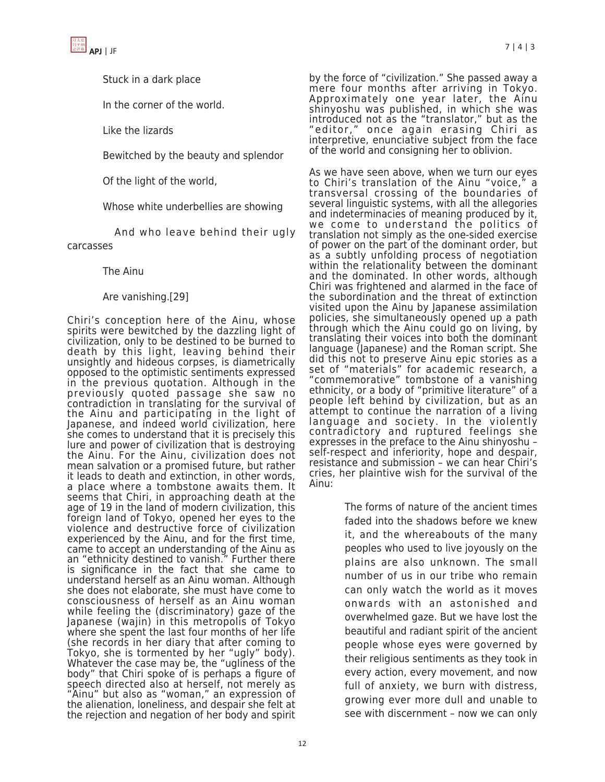



Stuck in a dark place

In the corner of the world.

Like the lizards

Bewitched by the beauty and splendor

Of the light of the world,

Whose white underbellies are showing

 And who leave behind their ugly carcasses

The Ainu

Are vanishing.[29]

Chiri's conception here of the Ainu, whose spirits were bewitched by the dazzling light of civilization, only to be destined to be burned to death by this light, leaving behind their unsightly and hideous corpses, is diametrically opposed to the optimistic sentiments expressed in the previous quotation. Although in the previously quoted passage she saw no contradiction in translating for the survival of the Ainu and participating in the light of Japanese, and indeed world civilization, here she comes to understand that it is precisely this lure and power of civilization that is destroying the Ainu. For the Ainu, civilization does not mean salvation or a promised future, but rather it leads to death and extinction, in other words, a place where a tombstone awaits them. It seems that Chiri, in approaching death at the age of 19 in the land of modern civilization, this foreign land of Tokyo, opened her eyes to the violence and destructive force of civilization experienced by the Ainu, and for the first time, came to accept an understanding of the Ainu as an "ethnicity destined to vanish." Further there is significance in the fact that she came to understand herself as an Ainu woman. Although she does not elaborate, she must have come to consciousness of herself as an Ainu woman while feeling the (discriminatory) gaze of the Japanese (wajin) in this metropolis of Tokyo where she spent the last four months of her life (she records in her diary that after coming to Tokyo, she is tormented by her "ugly" body). Whatever the case may be, the "ugliness of the body" that Chiri spoke of is perhaps a figure of speech directed also at herself, not merely as "Ainu" but also as "woman," an expression of the alienation, loneliness, and despair she felt at the rejection and negation of her body and spirit

by the force of "civilization." She passed away a mere four months after arriving in Tokyo. Approximately one year later, the Ainu shinyoshu was published, in which she was introduced not as the "translator," but as the "editor," once again erasing Chiri as interpretive, enunciative subject from the face of the world and consigning her to oblivion.

As we have seen above, when we turn our eyes to Chiri's translation of the Ainu "voice," a transversal crossing of the boundaries of several linguistic systems, with all the allegories and indeterminacies of meaning produced by it, we come to understand the politics of translation not simply as the one-sided exercise of power on the part of the dominant order, but as a subtly unfolding process of negotiation within the relationality between the dominant and the dominated. In other words, although Chiri was frightened and alarmed in the face of the subordination and the threat of extinction visited upon the Ainu by Japanese assimilation policies, she simultaneously opened up a path through which the Ainu could go on living, by translating their voices into both the dominant language (Japanese) and the Roman script. She did this not to preserve Ainu epic stories as a set of "materials" for academic research, a "commemorative" tombstone of a vanishing ethnicity, or a body of "primitive literature" of a people left behind by civilization, but as an attempt to continue the narration of a living language and society. In the violently contradictory and ruptured feelings she expresses in the preface to the Ainu shinyoshu – self-respect and inferiority, hope and despair, resistance and submission – we can hear Chiri's cries, her plaintive wish for the survival of the Ainu:

> The forms of nature of the ancient times faded into the shadows before we knew it, and the whereabouts of the many peoples who used to live joyously on the plains are also unknown. The small number of us in our tribe who remain can only watch the world as it moves onwards with an astonished and overwhelmed gaze. But we have lost the beautiful and radiant spirit of the ancient people whose eyes were governed by their religious sentiments as they took in every action, every movement, and now full of anxiety, we burn with distress, growing ever more dull and unable to see with discernment – now we can only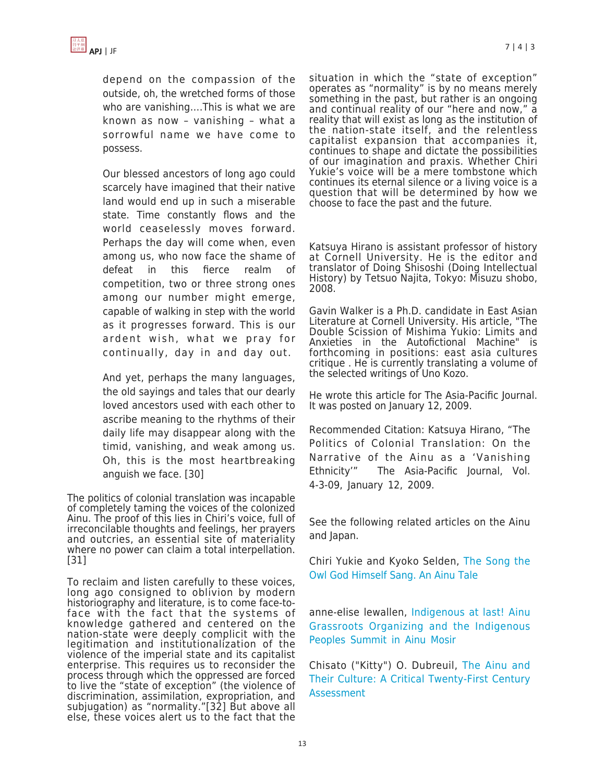depend on the compassion of the outside, oh, the wretched forms of those who are vanishing….This is what we are known as now – vanishing – what a sorrowful name we have come to possess.

Our blessed ancestors of long ago could scarcely have imagined that their native land would end up in such a miserable state. Time constantly flows and the world ceaselessly moves forward. Perhaps the day will come when, even among us, who now face the shame of defeat in this fierce realm of competition, two or three strong ones among our number might emerge, capable of walking in step with the world as it progresses forward. This is our ardent wish, what we pray for continually, day in and day out.

And yet, perhaps the many languages, the old sayings and tales that our dearly loved ancestors used with each other to ascribe meaning to the rhythms of their daily life may disappear along with the timid, vanishing, and weak among us. Oh, this is the most heartbreaking anguish we face. [30]

The politics of colonial translation was incapable of completely taming the voices of the colonized Ainu. The proof of this lies in Chiri's voice, full of irreconcilable thoughts and feelings, her prayers and outcries, an essential site of materiality where no power can claim a total interpellation. [31]

To reclaim and listen carefully to these voices, long ago consigned to oblivion by modern historiography and literature, is to come face-toface with the fact that the systems of knowledge gathered and centered on the nation-state were deeply complicit with the legitimation and institutionalization of the violence of the imperial state and its capitalist enterprise. This requires us to reconsider the process through which the oppressed are forced to live the "state of exception" (the violence of discrimination, assimilation, expropriation, and subjugation) as "normality."[32] But above all else, these voices alert us to the fact that the

situation in which the "state of exception" operates as "normality" is by no means merely something in the past, but rather is an ongoing and continual reality of our "here and now," a reality that will exist as long as the institution of the nation-state itself, and the relentless capitalist expansion that accompanies it, continues to shape and dictate the possibilities of our imagination and praxis. Whether Chiri Yukie's voice will be a mere tombstone which continues its eternal silence or a living voice is a question that will be determined by how we choose to face the past and the future.

Katsuya Hirano is assistant professor of history at Cornell University. He is the editor and translator of Doing Shisoshi (Doing Intellectual History) by Tetsuo Najita, Tokyo: Misuzu shobo, 2008.

Gavin Walker is a Ph.D. candidate in East Asian Literature at Cornell University. His article, "The Double Scission of Mishima Yukio: Limits and Anxieties in the Autofictional Machine" is forthcoming in positions: east asia cultures critique . He is currently translating a volume of the selected writings of Uno Kozo.

He wrote this article for The Asia-Pacific Journal. It was posted on January 12, 2009.

Recommended Citation: Katsuya Hirano, "The Politics of Colonial Translation: On the Narrative of the Ainu as a 'Vanishing Ethnicity'" The Asia-Pacific Journal, Vol. 4-3-09, January 12, 2009.

See the following related articles on the Ainu and Japan.

Chiri Yukie and Kyoko Selden, [The Song the](http://japanfocus.org/_Chiri_Yukie___Kyoko_Selden-The_Song_the_Owl_God_Himself_Sang__An_Ainu_Tale) [Owl God Himself Sang. An Ainu Tale](http://japanfocus.org/_Chiri_Yukie___Kyoko_Selden-The_Song_the_Owl_God_Himself_Sang__An_Ainu_Tale)

anne-elise lewallen, [Indigenous at last! Ainu](http://japanfocus.org/_ann_elise_lewallen-Indigenous_at_last___Ainu_Grassroots_Organizing_and_the_Indigenous_Peoples_Summit_in_Ainu_Mosir_) [Grassroots Organizing and the Indigenous](http://japanfocus.org/_ann_elise_lewallen-Indigenous_at_last___Ainu_Grassroots_Organizing_and_the_Indigenous_Peoples_Summit_in_Ainu_Mosir_) [Peoples Summit in Ainu Mosir](http://japanfocus.org/_ann_elise_lewallen-Indigenous_at_last___Ainu_Grassroots_Organizing_and_the_Indigenous_Peoples_Summit_in_Ainu_Mosir_)

Chisato ("Kitty") O. Dubreuil, [The Ainu and](http://japanfocus.org/_Chisato__Kitty__Dubreuil-The_Ainu_and_Their_Culture__A_Critical_Twenty_First_Century_Assessment) [Their Culture: A Critical Twenty-First Century](http://japanfocus.org/_Chisato__Kitty__Dubreuil-The_Ainu_and_Their_Culture__A_Critical_Twenty_First_Century_Assessment) [Assessment](http://japanfocus.org/_Chisato__Kitty__Dubreuil-The_Ainu_and_Their_Culture__A_Critical_Twenty_First_Century_Assessment)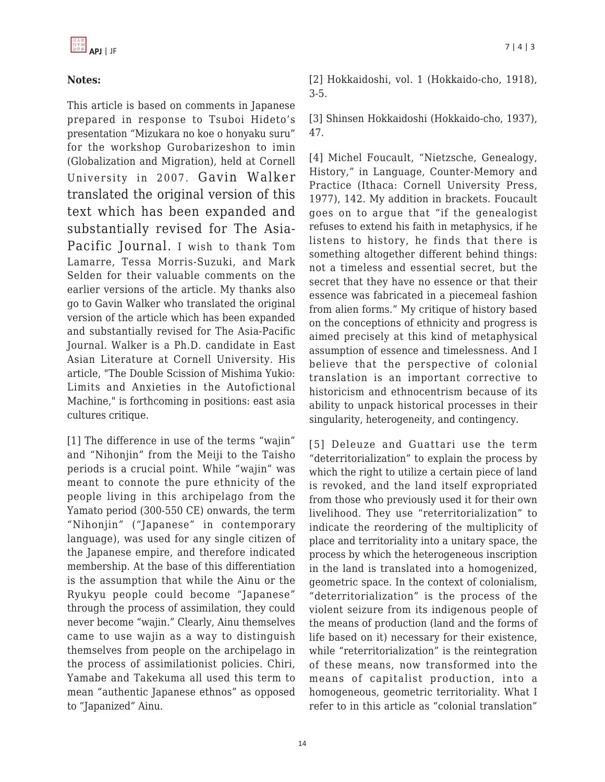# **Notes:**

This article is based on comments in Japanese prepared in response to Tsuboi Hideto's presentation "Mizukara no koe o honyaku suru" for the workshop Gurobarizeshon to imin (Globalization and Migration), held at Cornell University in 2007. Gavin Walker translated the original version of this text which has been expanded and substantially revised for The Asia-Pacific Journal. I wish to thank Tom Lamarre, Tessa Morris-Suzuki, and Mark Selden for their valuable comments on the earlier versions of the article. My thanks also go to Gavin Walker who translated the original version of the article which has been expanded and substantially revised for The Asia-Pacific Journal. Walker is a Ph.D. candidate in East Asian Literature at Cornell University. His article, "The Double Scission of Mishima Yukio: Limits and Anxieties in the Autofictional Machine," is forthcoming in positions: east asia cultures critique.

[1] The difference in use of the terms "wajin" and "Nihonjin" from the Meiji to the Taisho periods is a crucial point. While "wajin" was meant to connote the pure ethnicity of the people living in this archipelago from the Yamato period (300-550 CE) onwards, the term "Nihonjin" ("Japanese" in contemporary language), was used for any single citizen of the Japanese empire, and therefore indicated membership. At the base of this differentiation is the assumption that while the Ainu or the Ryukyu people could become "Japanese" through the process of assimilation, they could never become "wajin." Clearly, Ainu themselves came to use wajin as a way to distinguish themselves from people on the archipelago in the process of assimilationist policies. Chiri, Yamabe and Takekuma all used this term to mean "authentic Japanese ethnos" as opposed to "Japanized" Ainu.

[2] Hokkaidoshi, vol. 1 (Hokkaido-cho, 1918), 3-5.

[3] Shinsen Hokkaidoshi (Hokkaido-cho, 1937), 47.

[4] Michel Foucault, "Nietzsche, Genealogy, History," in Language, Counter-Memory and Practice (Ithaca: Cornell University Press, 1977), 142. My addition in brackets. Foucault goes on to argue that "if the genealogist refuses to extend his faith in metaphysics, if he listens to history, he finds that there is something altogether different behind things: not a timeless and essential secret, but the secret that they have no essence or that their essence was fabricated in a piecemeal fashion from alien forms." My critique of history based on the conceptions of ethnicity and progress is aimed precisely at this kind of metaphysical assumption of essence and timelessness. And I believe that the perspective of colonial translation is an important corrective to historicism and ethnocentrism because of its ability to unpack historical processes in their singularity, heterogeneity, and contingency.

[5] Deleuze and Guattari use the term "deterritorialization" to explain the process by which the right to utilize a certain piece of land is revoked, and the land itself expropriated from those who previously used it for their own livelihood. They use "reterritorialization" to indicate the reordering of the multiplicity of place and territoriality into a unitary space, the process by which the heterogeneous inscription in the land is translated into a homogenized, geometric space. In the context of colonialism, "deterritorialization" is the process of the violent seizure from its indigenous people of the means of production (land and the forms of life based on it) necessary for their existence, while "reterritorialization" is the reintegration of these means, now transformed into the means of capitalist production, into a homogeneous, geometric territoriality. What I refer to in this article as "colonial translation"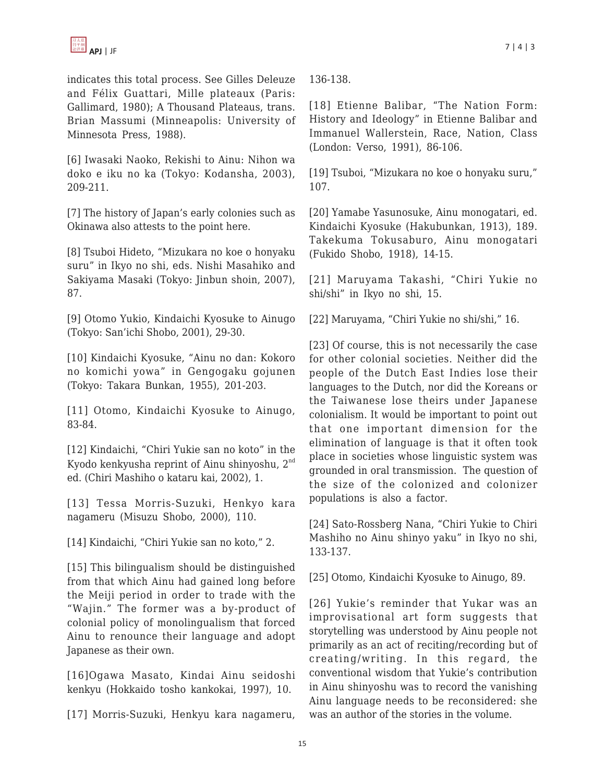indicates this total process. See Gilles Deleuze and Félix Guattari, Mille plateaux (Paris: Gallimard, 1980); A Thousand Plateaus, trans. Brian Massumi (Minneapolis: University of Minnesota Press, 1988).

[6] Iwasaki Naoko, Rekishi to Ainu: Nihon wa doko e iku no ka (Tokyo: Kodansha, 2003), 209-211.

[7] The history of Japan's early colonies such as Okinawa also attests to the point here.

[8] Tsuboi Hideto, "Mizukara no koe o honyaku suru" in Ikyo no shi, eds. Nishi Masahiko and Sakiyama Masaki (Tokyo: Jinbun shoin, 2007), 87.

[9] Otomo Yukio, Kindaichi Kyosuke to Ainugo (Tokyo: San'ichi Shobo, 2001), 29-30.

[10] Kindaichi Kyosuke, "Ainu no dan: Kokoro no komichi yowa" in Gengogaku gojunen (Tokyo: Takara Bunkan, 1955), 201-203.

[11] Otomo, Kindaichi Kyosuke to Ainugo, 83-84.

[12] Kindaichi, "Chiri Yukie san no koto" in the Kyodo kenkyusha reprint of Ainu shinyoshu, 2nd ed. (Chiri Mashiho o kataru kai, 2002), 1.

[13] Tessa Morris-Suzuki, Henkyo kara nagameru (Misuzu Shobo, 2000), 110.

[14] Kindaichi, "Chiri Yukie san no koto," 2.

[15] This bilingualism should be distinguished from that which Ainu had gained long before the Meiji period in order to trade with the "Wajin." The former was a by-product of colonial policy of monolingualism that forced Ainu to renounce their language and adopt Japanese as their own.

[16]Ogawa Masato, Kindai Ainu seidoshi kenkyu (Hokkaido tosho kankokai, 1997), 10.

[17] Morris-Suzuki, Henkyu kara nagameru,

136-138.

[18] Etienne Balibar, "The Nation Form: History and Ideology" in Etienne Balibar and Immanuel Wallerstein, Race, Nation, Class (London: Verso, 1991), 86-106.

[19] Tsuboi, "Mizukara no koe o honyaku suru," 107.

[20] Yamabe Yasunosuke, Ainu monogatari, ed. Kindaichi Kyosuke (Hakubunkan, 1913), 189. Takekuma Tokusaburo, Ainu monogatari (Fukido Shobo, 1918), 14-15.

[21] Maruyama Takashi, "Chiri Yukie no shi/shi" in Ikyo no shi, 15.

[22] Maruyama, "Chiri Yukie no shi/shi," 16.

[23] Of course, this is not necessarily the case for other colonial societies. Neither did the people of the Dutch East Indies lose their languages to the Dutch, nor did the Koreans or the Taiwanese lose theirs under Japanese colonialism. It would be important to point out that one important dimension for the elimination of language is that it often took place in societies whose linguistic system was grounded in oral transmission. The question of the size of the colonized and colonizer populations is also a factor.

[24] Sato-Rossberg Nana, "Chiri Yukie to Chiri Mashiho no Ainu shinyo yaku" in Ikyo no shi, 133-137.

[25] Otomo, Kindaichi Kyosuke to Ainugo, 89.

[26] Yukie's reminder that Yukar was an improvisational art form suggests that storytelling was understood by Ainu people not primarily as an act of reciting/recording but of creating/writing. In this regard, the conventional wisdom that Yukie's contribution in Ainu shinyoshu was to record the vanishing Ainu language needs to be reconsidered: she was an author of the stories in the volume.